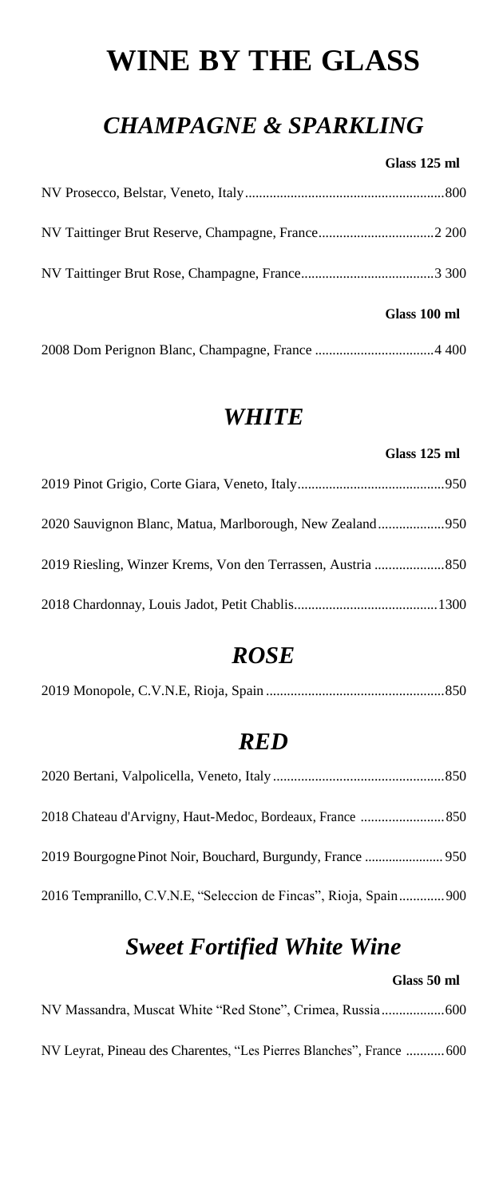### **WINE BY THE GLASS**

#### *CHAMPAGNE & SPARKLING*

#### **Glass 125 ml**

| Glass 100 ml |
|--------------|
|              |
|              |
|              |

#### *WHITE*

# **Glass 125 ml** 2019 Pinot Grigio, Corte Giara, Veneto, Italy..........................................950 2020 Sauvignon Blanc, Matua, Marlborough, New Zealand...................950 2019 Riesling, Winzer Krems, Von den Terrassen, Austria ....................850 2018 Chardonnay, Louis Jadot, Petit Chablis.........................................1300

#### *ROSE*

|--|--|--|--|--|

#### *RED*

| 2016 Tempranillo, C.V.N.E, "Seleccion de Fincas", Rioja, Spain 900 |  |
|--------------------------------------------------------------------|--|

#### *Sweet Fortified White Wine*

#### **Glass 50 ml**

NV Massandra, Muscat White "Red Stone", Crimea, Russia..................600

NV Leyrat, Pineau des Charentes, "Les Pierres Blanches", France ...........600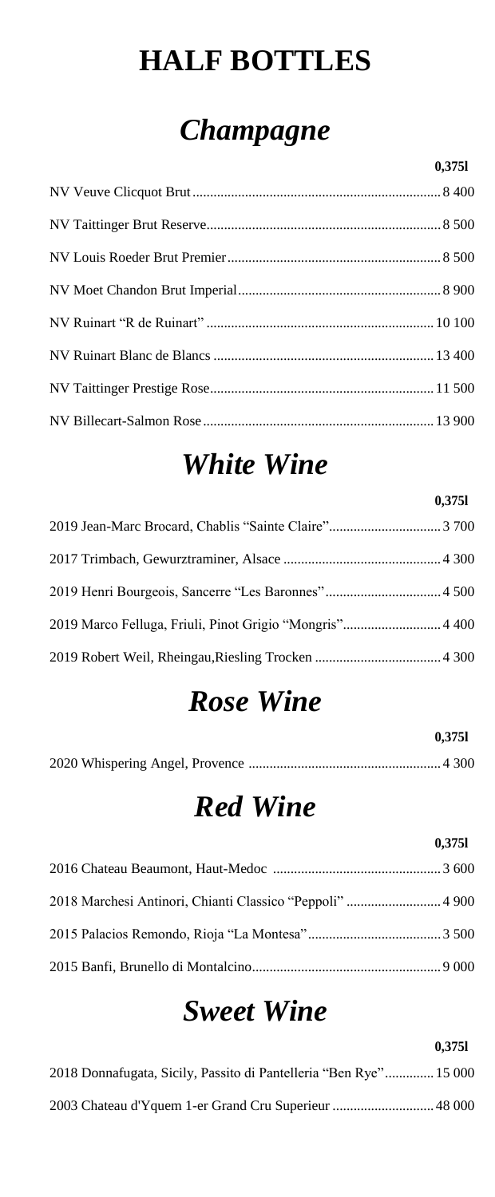### **HALF BOTTLES**

# *Champagne*

### *White Wine*

**0,375l**

### *Rose Wine*

**0,375l**

|--|--|

# *Red Wine*

**0,375l**

|                                                   | $V \sim I \sim I$ |
|---------------------------------------------------|-------------------|
|                                                   |                   |
| 2018 Marchaei Antipori Chianti Classico "Deppoli" | 4.000.            |

2018 Marchesi Antinori, Chianti Classico "Peppoli" ........................... 4 900

2015 Palacios Remondo, Rioja "La Montesa"...................................... 3 500

2015 Banfi, Brunello di Montalcino...................................................... 9 000

### *Sweet Wine*

**0,375l**

2018 Donnafugata, Sicily, Passito di Pantelleria "Ben Rye".............. 15 000

2003 Chateau d'Yquem 1-er Grand Cru Superieur ............................. 48 000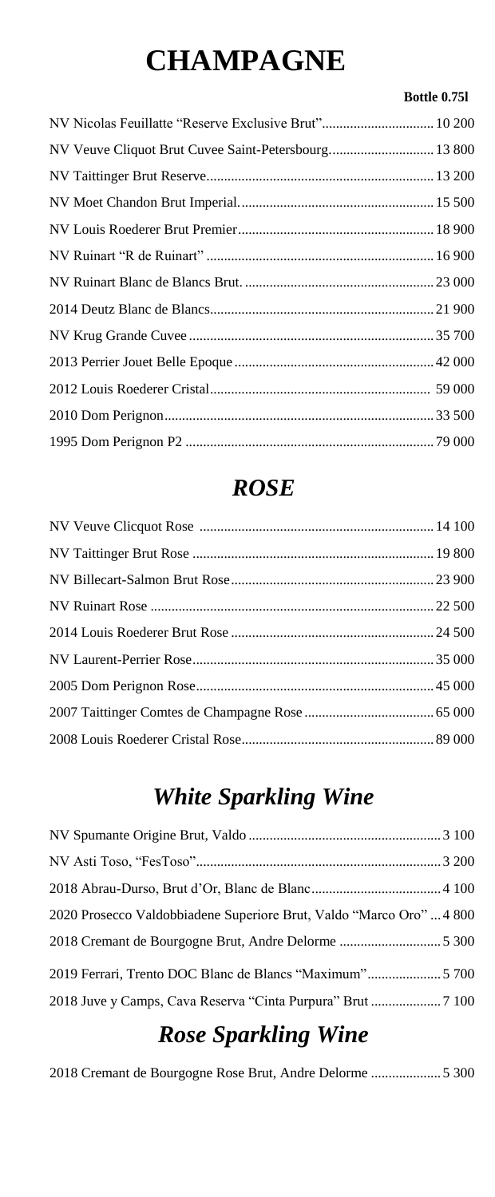# **CHAMPAGNE**

#### **Bottle 0.75l**

| NV Nicolas Feuillatte "Reserve Exclusive Brut" 10 200 |
|-------------------------------------------------------|
| NV Veuve Cliquot Brut Cuvee Saint-Petersbourg 13 800  |
|                                                       |
|                                                       |
|                                                       |
|                                                       |
|                                                       |
|                                                       |
|                                                       |
|                                                       |
|                                                       |
|                                                       |
|                                                       |
|                                                       |

### *ROSE*

### *White Sparkling Wine*

2020 Prosecco Valdobbiadene Superiore Brut, Valdo "Marco Oro" ... 4 800 2018 Cremant de Bourgogne Brut, Andre Delorme ............................. 5 300

2019 Ferrari, Trento DOC Blanc de Blancs "Maximum"..................... 5 700

2018 Juve y Camps, Cava Reserva "Cinta Purpura" Brut .................... 7 100

### *Rose Sparkling Wine*

2018 Cremant de Bourgogne Rose Brut, Andre Delorme .................... 5 300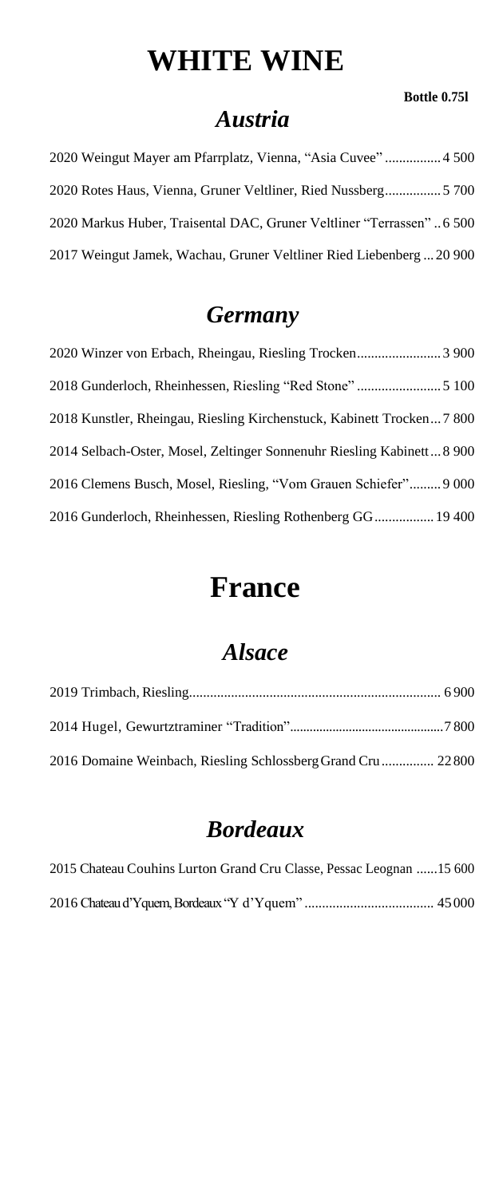### **WHITE WINE**

#### **Bottle 0.75l**

#### *Austria*

| 2020 Weingut Mayer am Pfarrplatz, Vienna, "Asia Cuvee" 4500           |
|-----------------------------------------------------------------------|
|                                                                       |
| 2020 Markus Huber, Traisental DAC, Gruner Veltliner "Terrassen" 6 500 |
| 2017 Weingut Jamek, Wachau, Gruner Veltliner Ried Liebenberg  20 900  |

#### *Germany*

2020 Winzer von Erbach, Rheingau, Riesling Trocken........................ 3 900 2018 Gunderloch, Rheinhessen, Riesling "Red Stone" ........................ 5 100 2018 Kunstler, Rheingau, Riesling Kirchenstuck, Kabinett Trocken... 7 800 2014 Selbach-Oster, Mosel, Zeltinger Sonnenuhr Riesling Kabinett... 8 900 2016 Clemens Busch, Mosel, Riesling, "Vom Grauen Schiefer"......... 9 000 2016 Gunderloch, Rheinhessen, Riesling Rothenberg GG................. 19 400

### **France**

#### *Alsace*

| 2016 Domaine Weinbach, Riesling Schlossberg Grand Cru 22800 |  |
|-------------------------------------------------------------|--|

#### *Bordeaux*

2015 Chateau Couhins Lurton Grand Cru Classe, Pessac Leognan ......15 600 2016 Chateau d'Yquem, Bordeaux "Y d'Yquem" ..................................... 45 000

|  |  |  |  |  |  | $\angle$ 010 Chaixau u Tuuchi, Doluxau $\Lambda$ Tuuchi muurii muunnimuunnimuun +9 000 |  |  |  |
|--|--|--|--|--|--|----------------------------------------------------------------------------------------|--|--|--|
|--|--|--|--|--|--|----------------------------------------------------------------------------------------|--|--|--|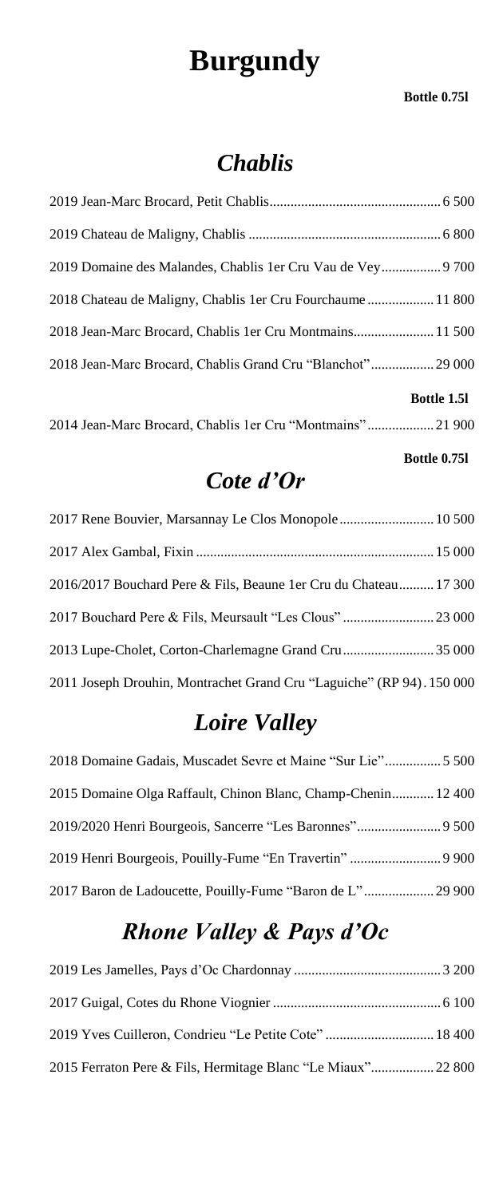### **Burgundy**

#### **Bottle 0.75l**

#### *Chablis*

| 2019 Domaine des Malandes, Chablis 1 er Cru Vau de Vey 9700 |
|-------------------------------------------------------------|
| 2018 Chateau de Maligny, Chablis 1er Cru Fourchaume 11 800  |
| 2018 Jean-Marc Brocard, Chablis 1er Cru Montmains 11 500    |
| 2018 Jean-Marc Brocard, Chablis Grand Cru "Blanchot" 29 000 |
| <b>Bottle 1.51</b>                                          |
| 2014 Jean-Marc Brocard, Chablis 1er Cru "Montmains"21 900   |

#### **Bottle 0.75l**

#### *Cote d'Or*

| 2016/2017 Bouchard Pere & Fils, Beaune 1 er Cru du Chateau 17 300     |  |
|-----------------------------------------------------------------------|--|
| 2017 Bouchard Pere & Fils, Meursault "Les Clous"  23 000              |  |
| 2013 Lupe-Cholet, Corton-Charlemagne Grand Cru35 000                  |  |
| 2011 Joseph Drouhin, Montrachet Grand Cru "Laguiche" (RP 94). 150 000 |  |

#### *Loire Valley*

| 2018 Domaine Gadais, Muscadet Sevre et Maine "Sur Lie" 5 500 |  |
|--------------------------------------------------------------|--|
| 2015 Domaine Olga Raffault, Chinon Blanc, Champ-Chenin 12400 |  |
|                                                              |  |
|                                                              |  |
|                                                              |  |

### *Rhone Valley & Pays d'Oc*

2019 Les Jamelles, Pays d'Oc Chardonnay .......................................... 3 200 2017 Guigal, Cotes du Rhone Viognier ................................................ 6 100 2019 Yves Cuilleron, Condrieu "Le Petite Cote" ............................... 18 400 2015 Ferraton Pere & Fils, Hermitage Blanc "Le Miaux".................. 22 800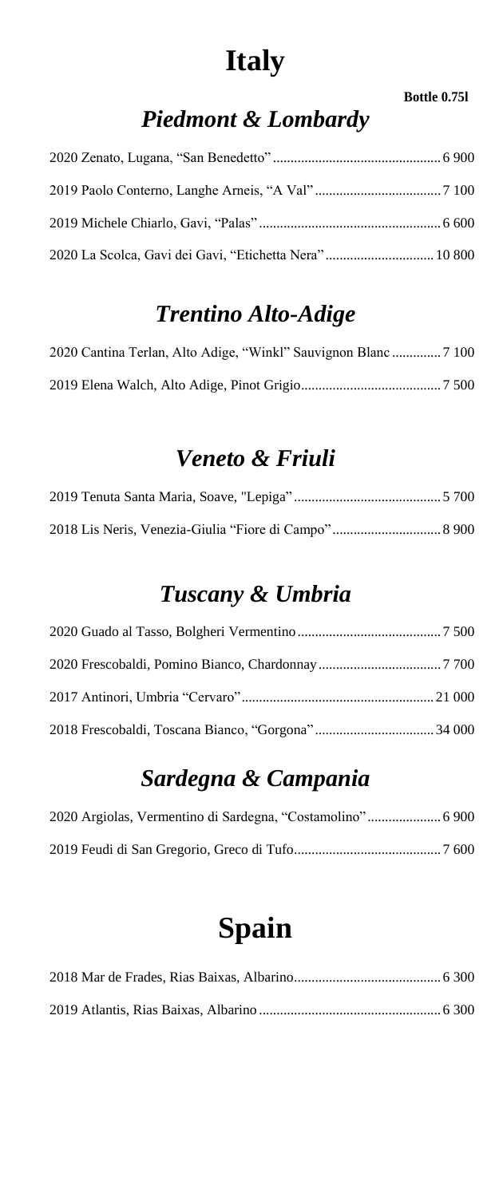### **Italy**

#### **Bottle 0.75l**

### *Piedmont & Lombardy*

| 2020 La Scolca, Gavi dei Gavi, "Etichetta Nera" 10 800 |  |
|--------------------------------------------------------|--|

### *Trentino Alto-Adige*

#### *Veneto & Friuli*

#### *Tuscany & Umbria*

### *Sardegna & Campania*

# **Spain**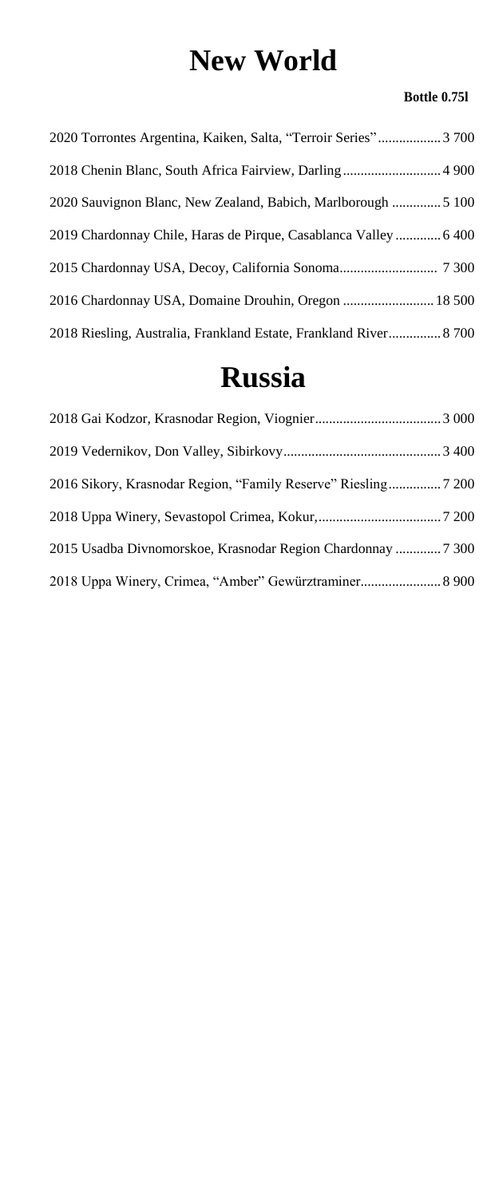### **New World**

#### **Bottle 0.75l**

| 2020 Torrontes Argentina, Kaiken, Salta, "Terroir Series" 3700   |
|------------------------------------------------------------------|
| 2018 Chenin Blanc, South Africa Fairview, Darling 4900           |
|                                                                  |
| 2019 Chardonnay Chile, Haras de Pirque, Casablanca Valley  6400  |
|                                                                  |
| 2016 Chardonnay USA, Domaine Drouhin, Oregon  18500              |
| 2018 Riesling, Australia, Frankland Estate, Frankland River 8700 |

### **Russia**

| 2015 Usadba Divnomorskoe, Krasnodar Region Chardonnay  7 300 |  |
|--------------------------------------------------------------|--|
| 2018 Uppa Winery, Crimea, "Amber" Gewürztraminer 8 900       |  |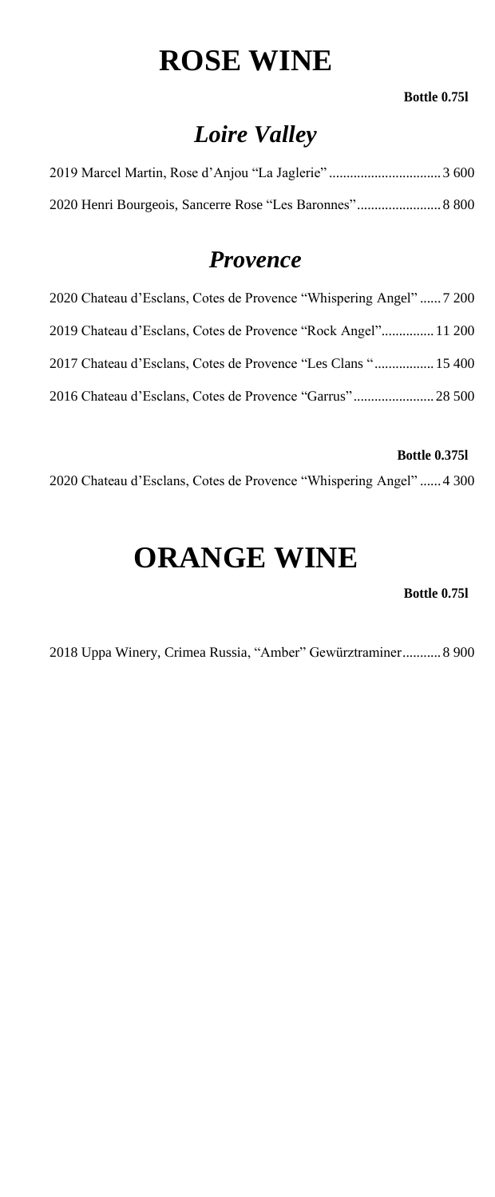### **ROSE WINE**

#### **Bottle 0.75l**

### *Loire Valley*

#### *Provence*

| 2020 Chateau d'Esclans, Cotes de Provence "Whispering Angel"  7 200 |  |
|---------------------------------------------------------------------|--|
| 2019 Chateau d'Esclans, Cotes de Provence "Rock Angel" 11 200       |  |
| 2017 Chateau d'Esclans, Cotes de Provence "Les Clans " 15 400       |  |
| 2016 Chateau d'Esclans, Cotes de Provence "Garrus" 28 500           |  |

#### **Bottle 0.375l**

2020 Chateau d'Esclans, Cotes de Provence "Whispering Angel" ...... 4 300

### **ORANGE WINE**

**Bottle 0.75l**

2018 Uppa Winery, Crimea Russia, "Amber" Gewürztraminer........... 8 900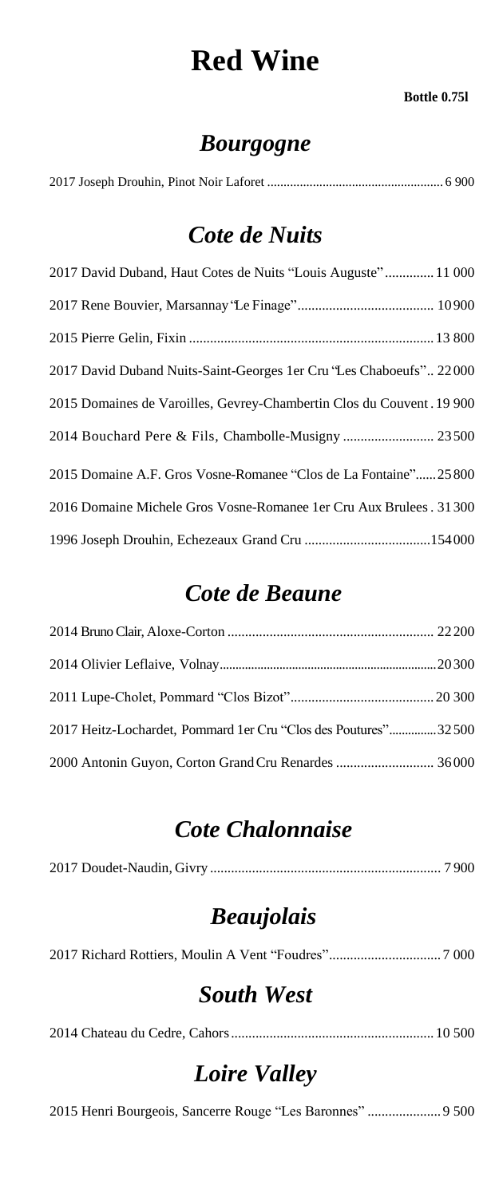### **Red Wine**

#### **Bottle 0.75l**

### *Bourgogne*

|--|--|--|--|--|--|

#### *Cote de Nuits*

| 2017 David Duband, Haut Cotes de Nuits "Louis Auguste" 11 000         |
|-----------------------------------------------------------------------|
|                                                                       |
|                                                                       |
| 2017 David Duband Nuits-Saint-Georges 1 er Cru 'Les Chaboeufs' 22000  |
| 2015 Domaines de Varoilles, Gevrey-Chambertin Clos du Couvent. 19 900 |
|                                                                       |
| 2015 Domaine A.F. Gros Vosne-Romanee "Clos de La Fontaine"25800       |
| 2016 Domaine Michele Gros Vosne-Romanee 1 er Cru Aux Brulees. 31300   |
|                                                                       |

#### *Cote de Beaune*

| 2017 Heitz-Lochardet, Pommard 1er Cru "Clos des Poutures"32500 |  |
|----------------------------------------------------------------|--|
|                                                                |  |

#### *Cote Chalonnaise*

|--|--|

### *Beaujolais*

2017 Richard Rottiers, Moulin A Vent "Foudres"................................ 7 000

#### *South West*

2014 Chateau du Cedre, Cahors.......................................................... 10 500

#### *Loire Valley*

2015 Henri Bourgeois, Sancerre Rouge "Les Baronnes" ..................... 9 500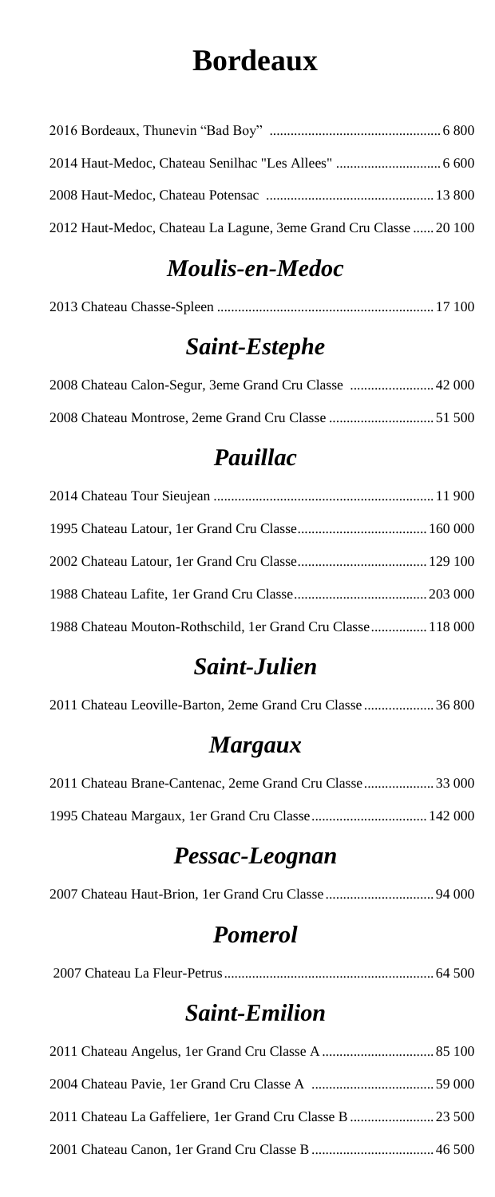### **Bordeaux**

| 2012 Haut-Medoc, Chateau La Lagune, 3eme Grand Cru Classe  20 100 |  |
|-------------------------------------------------------------------|--|

### *Moulis-en-Medoc*

|--|--|--|--|--|--|--|--|

#### *Saint-Estephe*

#### *Pauillac*

| 1988 Chateau Mouton-Rothschild, 1er Grand Cru Classe 118 000 |  |
|--------------------------------------------------------------|--|

### *Saint-Julien*

| 2011 Chateau Leoville-Barton, 2eme Grand Cru Classe  36 800 |
|-------------------------------------------------------------|
|                                                             |

#### *Margaux*

| 2011 Chateau Brane-Cantenac, 2eme Grand Cru Classe33 000 |  |  |
|----------------------------------------------------------|--|--|
|                                                          |  |  |

### *Pessac-Leognan*

|--|--|--|--|

#### *Pomerol*

2007 Chateau La Fleur-Petrus............................................................ 64 500

### *Saint-Emilion*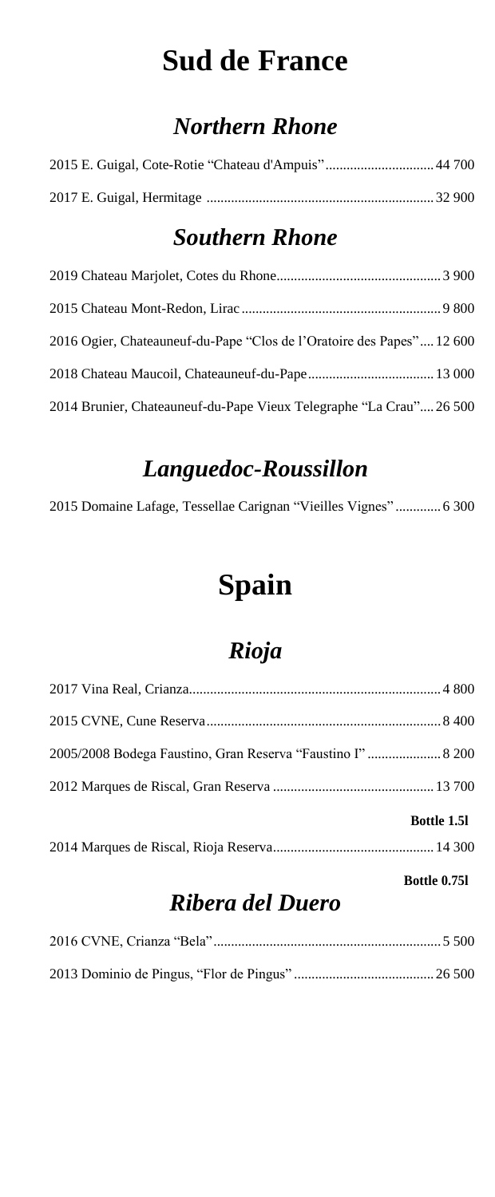### **Sud de France**

### *Northern Rhone*

| 2016 Ogier, Chateauneuf-du-Pape "Clos de l'Oratoire des Papes" 12600 |  |
|----------------------------------------------------------------------|--|
|                                                                      |  |
| 2014 Brunier, Chateauneuf-du-Pape Vieux Telegraphe "La Crau"26 500   |  |

#### *Southern Rhone*

#### *Languedoc-Roussillon*

2015 Domaine Lafage, Tessellae Carignan "Vieilles Vignes" ............. 6 300

### **Spain**

### *Rioja*

| <b>Bottle 1.51</b>                                          |  |
|-------------------------------------------------------------|--|
|                                                             |  |
| 2005/2008 Bodega Faustino, Gran Reserva "Faustino I"  8 200 |  |
|                                                             |  |
|                                                             |  |

**Bottle 0.75l**

#### *Ribera del Duero*

|--|--|--|

2013 Dominio de Pingus, "Flor de Pingus" ........................................ 26 500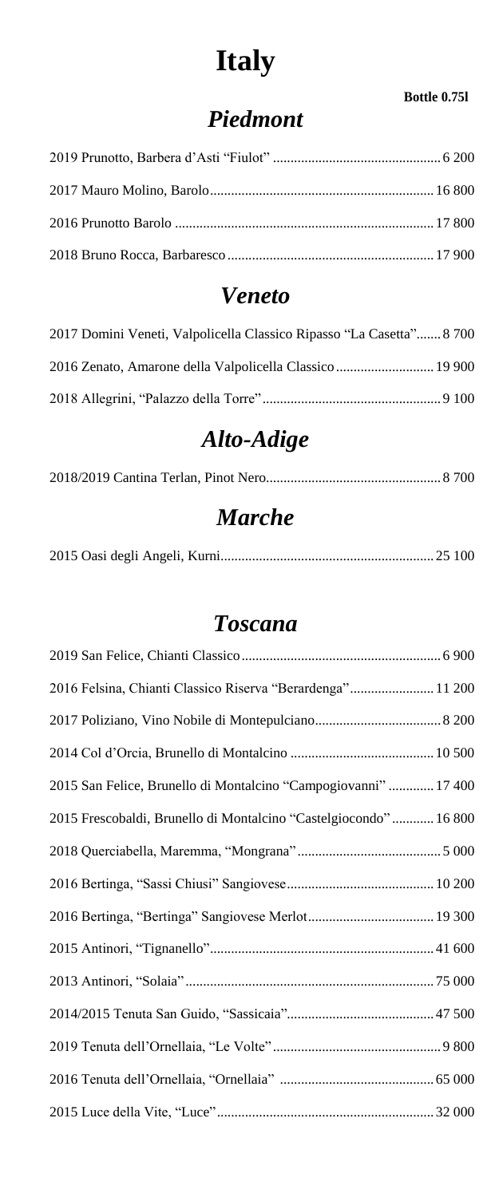# **Italy**

#### **Bottle 0.75l**

### *Piedmont*

#### *Veneto*

| 2017 Domini Veneti, Valpolicella Classico Ripasso "La Casetta" 8 700 |  |
|----------------------------------------------------------------------|--|
|                                                                      |  |
|                                                                      |  |

### *Alto-Adige*

### *Marche*

|--|--|--|

#### *Toscana*

| 2016 Felsina, Chianti Classico Riserva "Berardenga" 11 200       |
|------------------------------------------------------------------|
|                                                                  |
|                                                                  |
| 2015 San Felice, Brunello di Montalcino "Campogiovanni"  17 400  |
| 2015 Frescobaldi, Brunello di Montalcino "Castelgiocondo" 16 800 |
|                                                                  |
|                                                                  |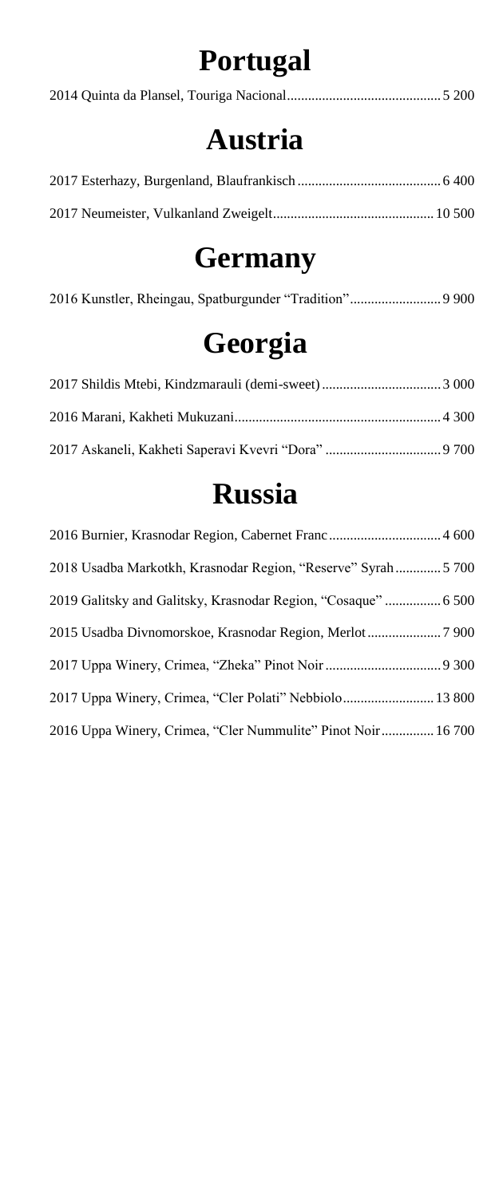# **Portugal**

|--|--|--|

### **Austria**

# **Germany**

|--|--|

# **Georgia**

### **Russia**

| 2018 Usadba Markotkh, Krasnodar Region, "Reserve" Syrah 5 700 |
|---------------------------------------------------------------|
| 2019 Galitsky and Galitsky, Krasnodar Region, "Cosaque"  6500 |
|                                                               |
|                                                               |
| 2017 Uppa Winery, Crimea, "Cler Polati" Nebbiolo 13 800       |
| 2016 Uppa Winery, Crimea, "Cler Nummulite" Pinot Noir 16700   |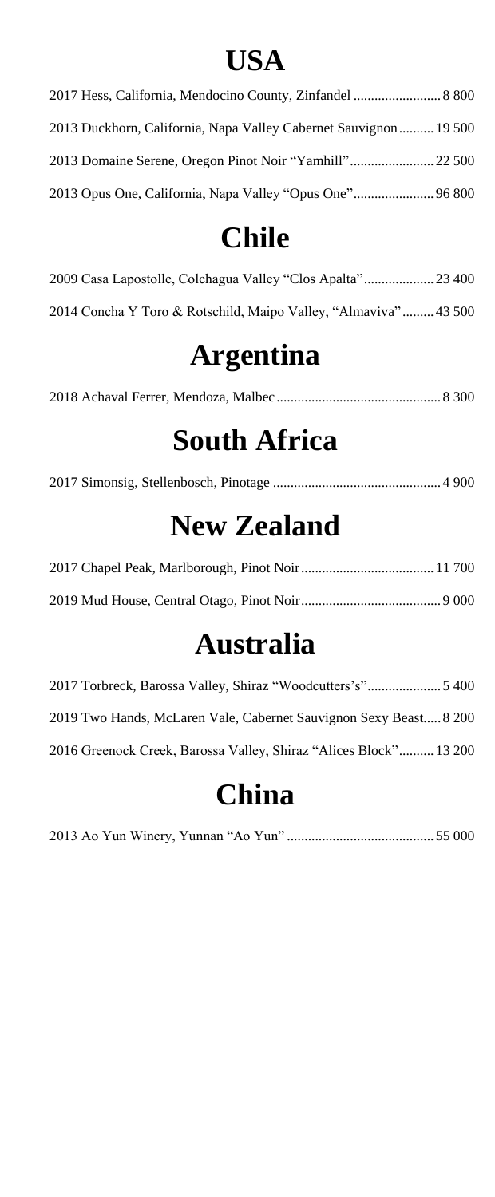### **USA**

| 2017 Hess, California, Mendocino County, Zinfandel  8 800       |  |
|-----------------------------------------------------------------|--|
| 2013 Duckhorn, California, Napa Valley Cabernet Sauvignon 19500 |  |
|                                                                 |  |
| 2013 Opus One, California, Napa Valley "Opus One" 96 800        |  |

### **Chile**

| 2014 Concha Y Toro & Rotschild, Maipo Valley, "Almaviva"43 500 |  |
|----------------------------------------------------------------|--|

### **Argentina**

|--|--|--|

### **South Africa**

|--|--|--|--|--|--|--|

# **New Zealand**

### **Australia**

| 2019 Two Hands, McLaren Vale, Cabernet Sauvignon Sexy Beast 8 200 |  |
|-------------------------------------------------------------------|--|
| 2016 Greenock Creek, Barossa Valley, Shiraz "Alices Block" 13 200 |  |

# **China**

|--|--|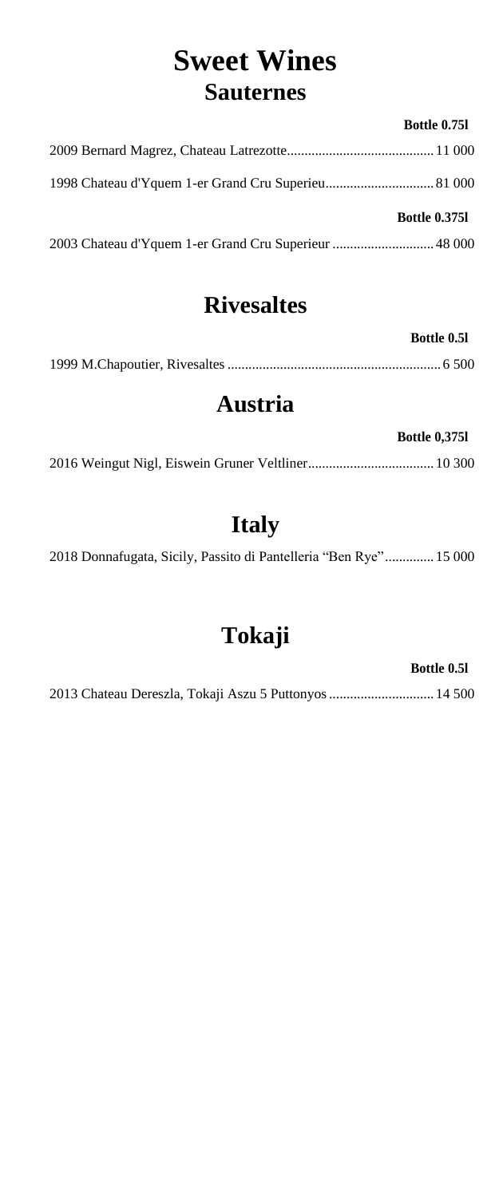### **Sweet Wines Sauternes**

#### **Bottle 0.75l**

| <b>Bottle 0.3751</b> |
|----------------------|
|                      |

#### **Rivesaltes**

**Bottle 0.5l**

### **Austria**

| <b>Bottle 0,3751</b> |
|----------------------|
|                      |

### **Italy**

2018 Donnafugata, Sicily, Passito di Pantelleria "Ben Rye".............. 15 000

### **Tokaji**

**Bottle 0.5l**

2013 Chateau Dereszla, Tokaji Aszu 5 Puttonyos.............................. 14 500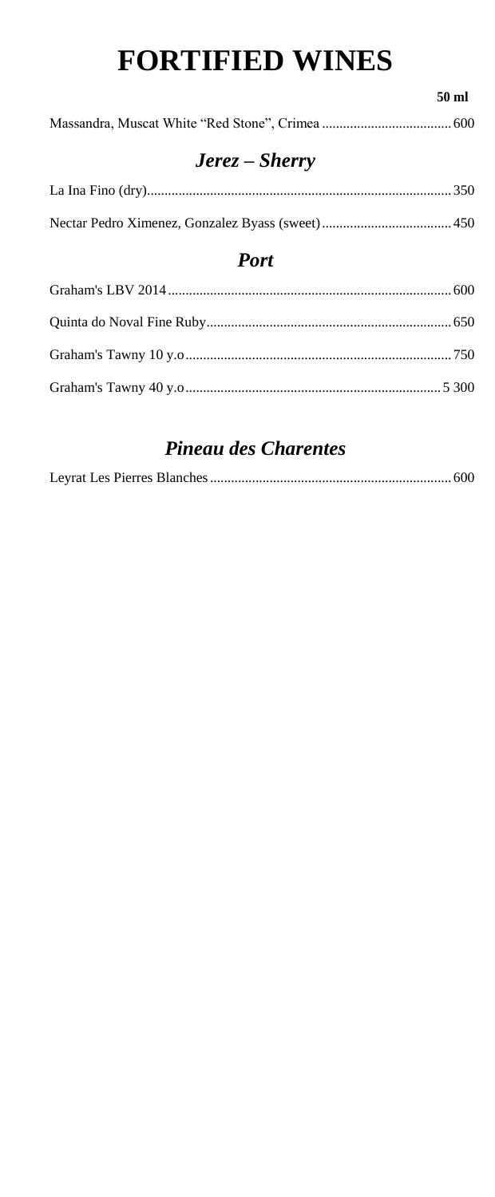# **FORTIFIED WINES**

**50 ml** 

### *Jerez – Sherry*

#### *Port*

#### *Pineau des Charentes*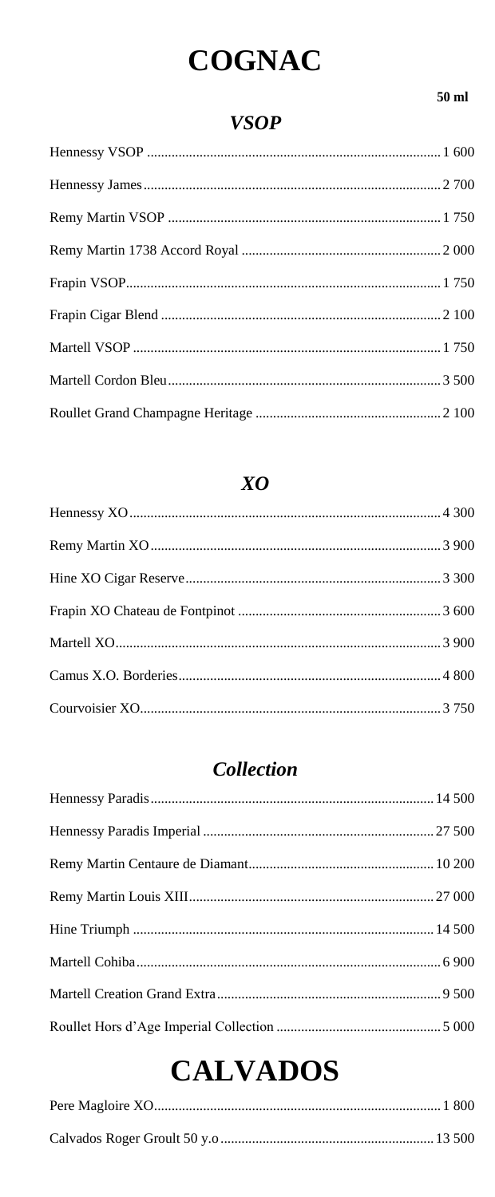# **COGNAC**

#### 50 ml

#### **VSOP**

#### $XO$

#### **Collection**

|--|--|

### **CALVADOS**

|--|--|

|--|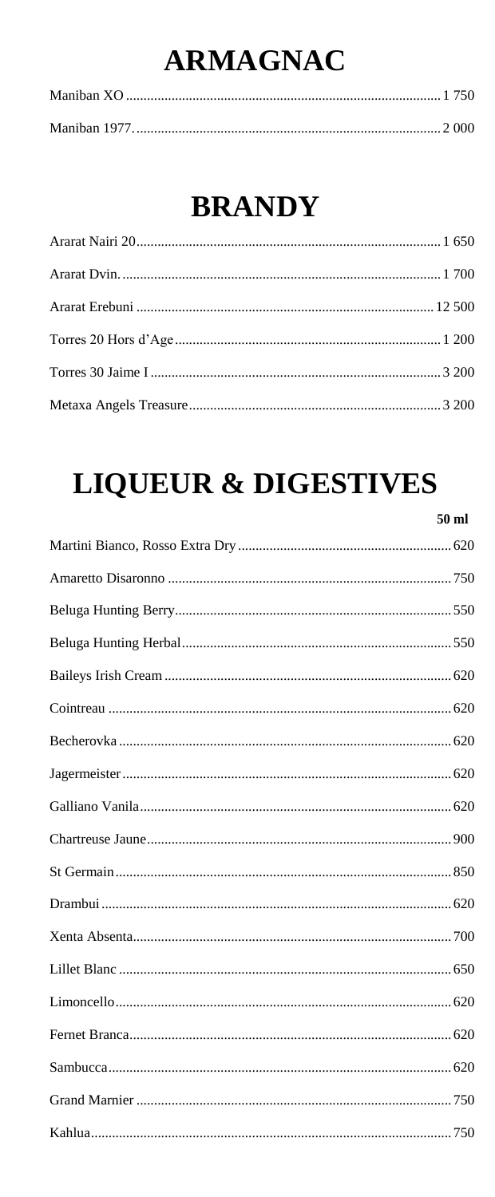# **ARMAGNAC**

## **BRANDY**

# **LIQUEUR & DIGESTIVES**

| 50 ml |  |
|-------|--|
|       |  |
|       |  |
|       |  |
|       |  |
|       |  |
|       |  |
|       |  |
|       |  |
|       |  |
|       |  |
|       |  |
|       |  |
|       |  |
|       |  |
|       |  |
|       |  |
|       |  |
|       |  |
|       |  |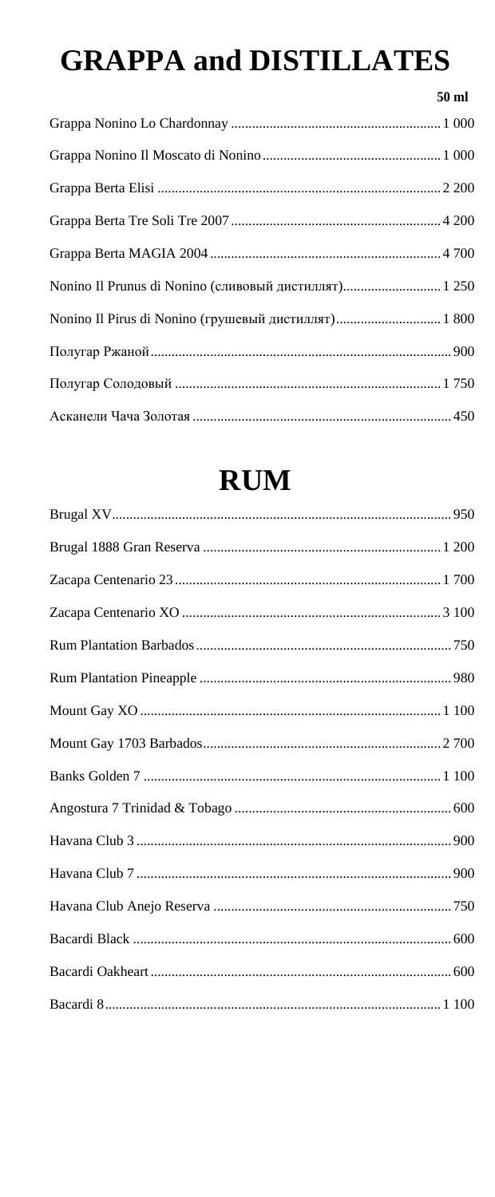# **GRAPPA and DISTILLATES**

|                                                       | 50 ml |
|-------------------------------------------------------|-------|
|                                                       |       |
|                                                       |       |
|                                                       |       |
|                                                       |       |
|                                                       |       |
| Nonino Il Prunus di Nonino (сливовый дистиллят) 1 250 |       |
| Nonino Il Pirus di Nonino (грушевый дистиллят) 1800   |       |
|                                                       |       |
|                                                       |       |
|                                                       |       |

# **RUM**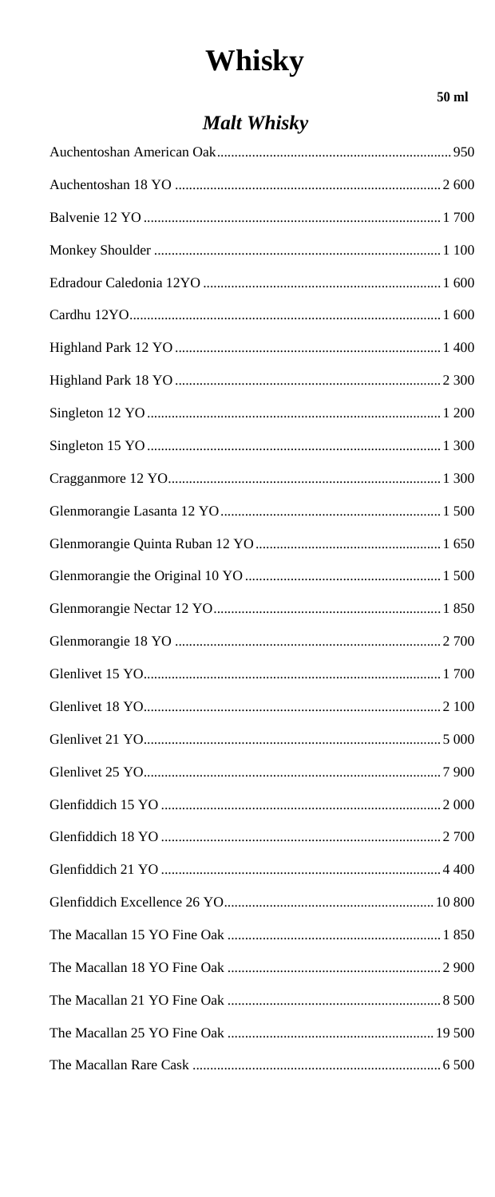# Whisky

#### **Malt Whisky**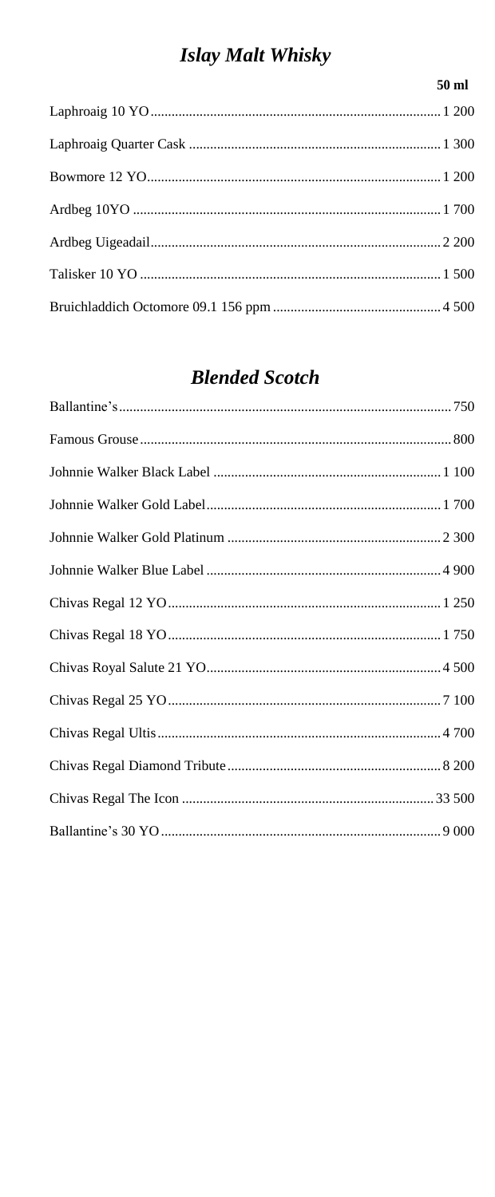#### **Islay Malt Whisky**

#### $50$  ml

#### **Blended Scotch**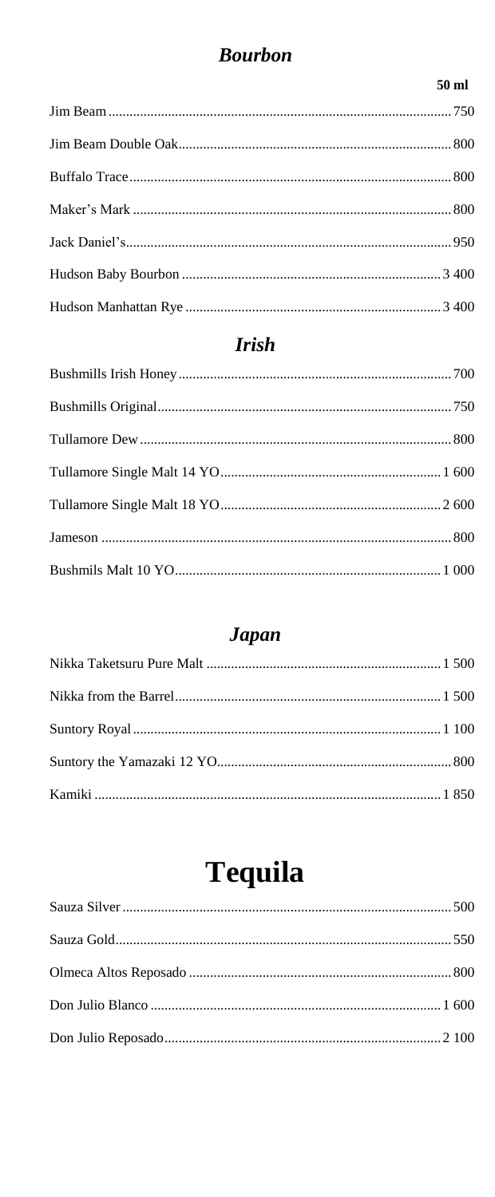#### **Bourbon**

#### $50$  ml

#### **Irish**

#### **Japan**

# **Tequila**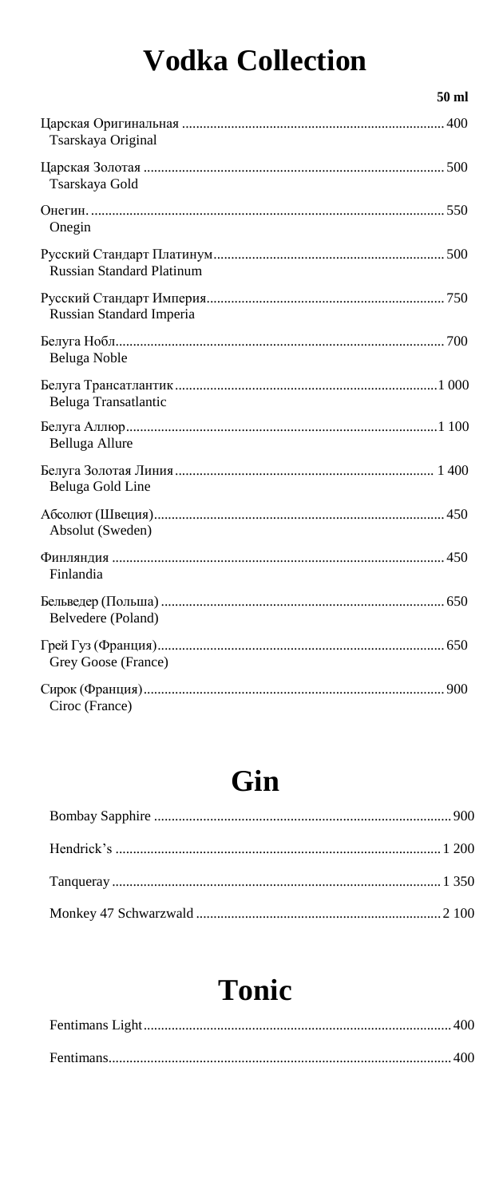# **Vodka Collection**

| 50 ml                            |
|----------------------------------|
| Tsarskaya Original               |
| Tsarskaya Gold                   |
| Onegin                           |
| <b>Russian Standard Platinum</b> |
| <b>Russian Standard Imperia</b>  |
| Beluga Noble                     |
| Beluga Transatlantic             |
| Belluga Allure                   |
| Beluga Gold Line                 |
| Absolut (Sweden)                 |
| Finlandia                        |
| Belvedere (Poland)               |
| Grey Goose (France)              |
| Ciroc (France)                   |

### Gin

|--|--|--|--|--|

### Tonic

|--|--|

|--|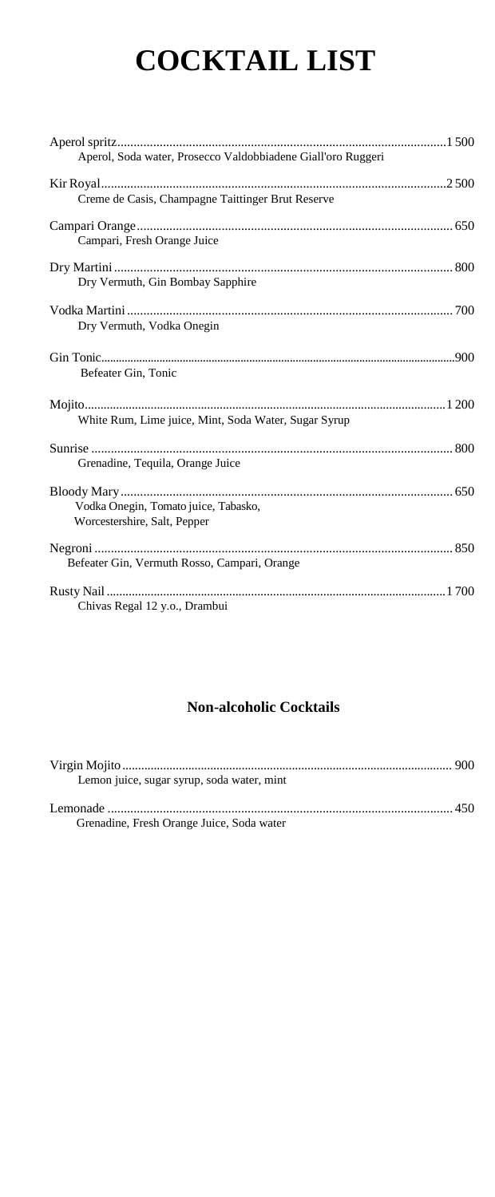# **COCKTAIL LIST**

| Aperol, Soda water, Prosecco Valdobbiadene Giall'oro Ruggeri         |
|----------------------------------------------------------------------|
| Creme de Casis, Champagne Taittinger Brut Reserve                    |
| Campari, Fresh Orange Juice                                          |
| Dry Vermuth, Gin Bombay Sapphire                                     |
| Dry Vermuth, Vodka Onegin                                            |
| Befeater Gin, Tonic                                                  |
| White Rum, Lime juice, Mint, Soda Water, Sugar Syrup                 |
| Grenadine, Tequila, Orange Juice                                     |
| Vodka Onegin, Tomato juice, Tabasko,<br>Worcestershire, Salt, Pepper |
| Befeater Gin, Vermuth Rosso, Campari, Orange                         |
| Chivas Regal 12 y.o., Drambui                                        |

#### **Non-alcoholic Cocktails**

| Lemon juice, sugar syrup, soda water, mint |  |
|--------------------------------------------|--|
| Grenadine, Fresh Orange Juice, Soda water  |  |